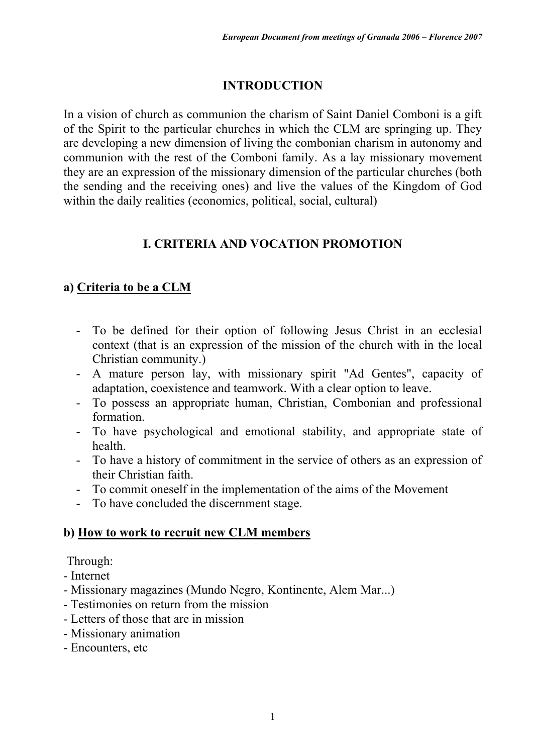### **INTRODUCTION**

In a vision of church as communion the charism of Saint Daniel Comboni is a gift of the Spirit to the particular churches in which the CLM are springing up. They are developing a new dimension of living the combonian charism in autonomy and communion with the rest of the Comboni family. As a lay missionary movement they are an expression of the missionary dimension of the particular churches (both the sending and the receiving ones) and live the values of the Kingdom of God within the daily realities (economics, political, social, cultural)

### **I. CRITERIA AND VOCATION PROMOTION**

### **a) Criteria to be a CLM**

- To be defined for their option of following Jesus Christ in an ecclesial context (that is an expression of the mission of the church with in the local Christian community.)
- A mature person lay, with missionary spirit "Ad Gentes", capacity of adaptation, coexistence and teamwork. With a clear option to leave.
- To possess an appropriate human, Christian, Combonian and professional formation.
- To have psychological and emotional stability, and appropriate state of health.
- To have a history of commitment in the service of others as an expression of their Christian faith.
- To commit oneself in the implementation of the aims of the Movement
- To have concluded the discernment stage.

#### **b) How to work to recruit new CLM members**

Through:

- Internet
- Missionary magazines (Mundo Negro, Kontinente, Alem Mar...)
- Testimonies on return from the mission
- Letters of those that are in mission
- Missionary animation
- Encounters, etc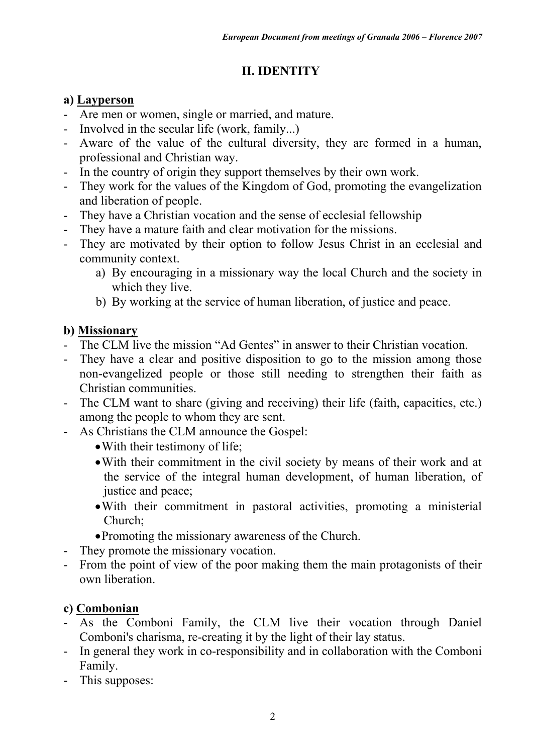# **II. IDENTITY**

### **a) Layperson**

- Are men or women, single or married, and mature.
- Involved in the secular life (work, family...)
- Aware of the value of the cultural diversity, they are formed in a human, professional and Christian way.
- In the country of origin they support themselves by their own work.
- They work for the values of the Kingdom of God, promoting the evangelization and liberation of people.
- They have a Christian vocation and the sense of ecclesial fellowship
- They have a mature faith and clear motivation for the missions.
- They are motivated by their option to follow Jesus Christ in an ecclesial and community context.
	- a) By encouraging in a missionary way the local Church and the society in which they live.
	- b) By working at the service of human liberation, of justice and peace.

# **b) Missionary**

- The CLM live the mission "Ad Gentes" in answer to their Christian vocation.
- They have a clear and positive disposition to go to the mission among those non-evangelized people or those still needing to strengthen their faith as Christian communities.
- The CLM want to share (giving and receiving) their life (faith, capacities, etc.) among the people to whom they are sent.
- As Christians the CLM announce the Gospel:
	- With their testimony of life;
	- With their commitment in the civil society by means of their work and at the service of the integral human development, of human liberation, of justice and peace;
	- With their commitment in pastoral activities, promoting a ministerial Church;
	- Promoting the missionary awareness of the Church.
- They promote the missionary vocation.
- From the point of view of the poor making them the main protagonists of their own liberation.

# **c) Combonian**

- As the Comboni Family, the CLM live their vocation through Daniel Comboni's charisma, re-creating it by the light of their lay status.
- In general they work in co-responsibility and in collaboration with the Comboni Family.
- This supposes: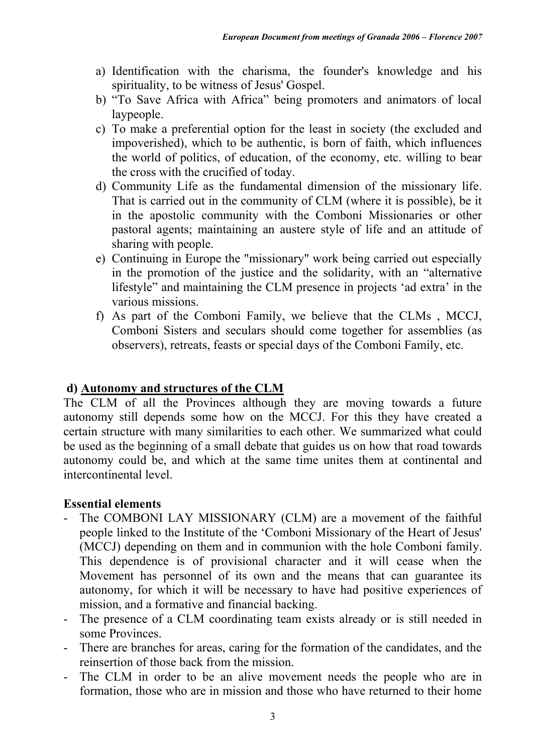- a) Identification with the charisma, the founder's knowledge and his spirituality, to be witness of Jesus' Gospel.
- b) "To Save Africa with Africa" being promoters and animators of local laypeople.
- c) To make a preferential option for the least in society (the excluded and impoverished), which to be authentic, is born of faith, which influences the world of politics, of education, of the economy, etc. willing to bear the cross with the crucified of today.
- d) Community Life as the fundamental dimension of the missionary life. That is carried out in the community of CLM (where it is possible), be it in the apostolic community with the Comboni Missionaries or other pastoral agents; maintaining an austere style of life and an attitude of sharing with people.
- e) Continuing in Europe the "missionary" work being carried out especially in the promotion of the justice and the solidarity, with an "alternative lifestyle" and maintaining the CLM presence in projects 'ad extra' in the various missions.
- f) As part of the Comboni Family, we believe that the CLMs , MCCJ, Comboni Sisters and seculars should come together for assemblies (as observers), retreats, feasts or special days of the Comboni Family, etc.

#### **d) Autonomy and structures of the CLM**

The CLM of all the Provinces although they are moving towards a future autonomy still depends some how on the MCCJ. For this they have created a certain structure with many similarities to each other. We summarized what could be used as the beginning of a small debate that guides us on how that road towards autonomy could be, and which at the same time unites them at continental and intercontinental level.

#### **Essential elements**

- The COMBONI LAY MISSIONARY (CLM) are a movement of the faithful people linked to the Institute of the 'Comboni Missionary of the Heart of Jesus' (MCCJ) depending on them and in communion with the hole Comboni family. This dependence is of provisional character and it will cease when the Movement has personnel of its own and the means that can guarantee its autonomy, for which it will be necessary to have had positive experiences of mission, and a formative and financial backing.
- The presence of a CLM coordinating team exists already or is still needed in some Provinces.
- There are branches for areas, caring for the formation of the candidates, and the reinsertion of those back from the mission.
- The CLM in order to be an alive movement needs the people who are in formation, those who are in mission and those who have returned to their home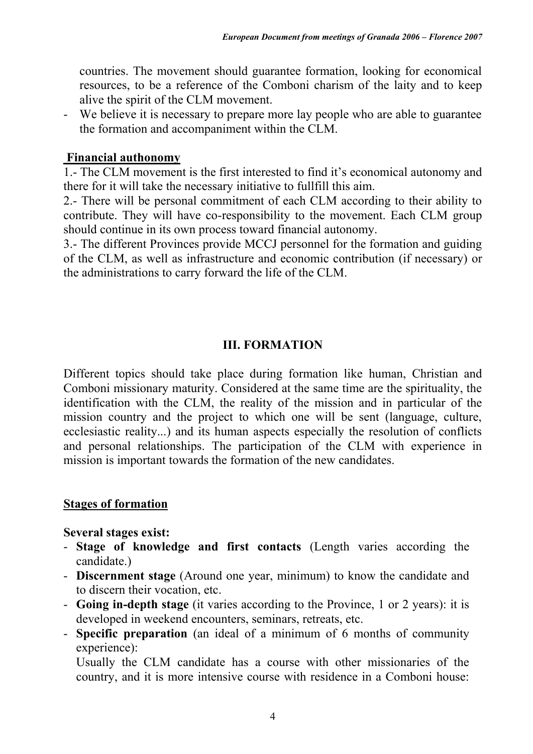countries. The movement should guarantee formation, looking for economical resources, to be a reference of the Comboni charism of the laity and to keep alive the spirit of the CLM movement.

- We believe it is necessary to prepare more lay people who are able to guarantee the formation and accompaniment within the CLM.

#### **Financial authonomy**

1.- The CLM movement is the first interested to find it's economical autonomy and there for it will take the necessary initiative to fullfill this aim.

2.- There will be personal commitment of each CLM according to their ability to contribute. They will have co-responsibility to the movement. Each CLM group should continue in its own process toward financial autonomy.

3.- The different Provinces provide MCCJ personnel for the formation and guiding of the CLM, as well as infrastructure and economic contribution (if necessary) or the administrations to carry forward the life of the CLM.

### **III. FORMATION**

Different topics should take place during formation like human, Christian and Comboni missionary maturity. Considered at the same time are the spirituality, the identification with the CLM, the reality of the mission and in particular of the mission country and the project to which one will be sent (language, culture, ecclesiastic reality...) and its human aspects especially the resolution of conflicts and personal relationships. The participation of the CLM with experience in mission is important towards the formation of the new candidates.

#### **Stages of formation**

#### **Several stages exist:**

- **Stage of knowledge and first contacts** (Length varies according the candidate.)
- **Discernment stage** (Around one year, minimum) to know the candidate and to discern their vocation, etc.
- **Going in-depth stage** (it varies according to the Province, 1 or 2 years): it is developed in weekend encounters, seminars, retreats, etc.
- **Specific preparation** (an ideal of a minimum of 6 months of community experience):

Usually the CLM candidate has a course with other missionaries of the country, and it is more intensive course with residence in a Comboni house: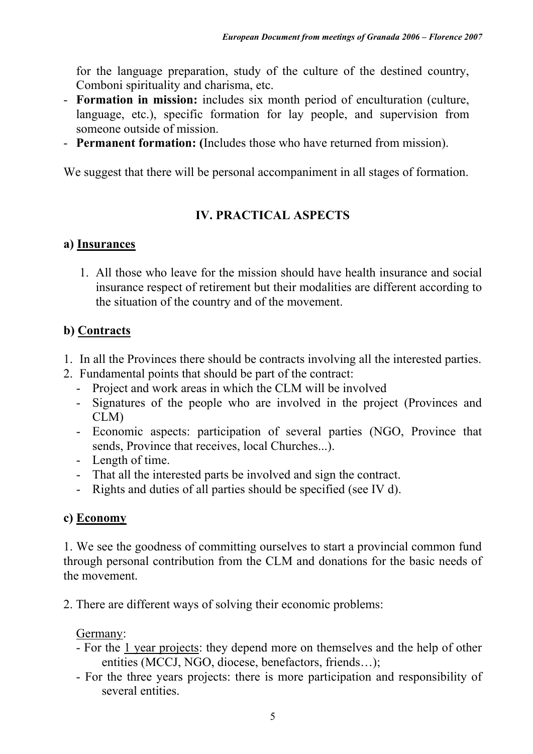for the language preparation, study of the culture of the destined country, Comboni spirituality and charisma, etc.

- **Formation in mission:** includes six month period of enculturation (culture, language, etc.), specific formation for lay people, and supervision from someone outside of mission.
- **Permanent formation: (**Includes those who have returned from mission).

We suggest that there will be personal accompaniment in all stages of formation.

# **IV. PRACTICAL ASPECTS**

### **a) Insurances**

1. All those who leave for the mission should have health insurance and social insurance respect of retirement but their modalities are different according to the situation of the country and of the movement.

### **b) Contracts**

- 1. In all the Provinces there should be contracts involving all the interested parties.
- 2. Fundamental points that should be part of the contract:
	- Project and work areas in which the CLM will be involved
	- Signatures of the people who are involved in the project (Provinces and CLM)
	- Economic aspects: participation of several parties (NGO, Province that sends, Province that receives, local Churches...).
	- Length of time.
	- That all the interested parts be involved and sign the contract.
	- Rights and duties of all parties should be specified (see IV d).

### **c) Economy**

1. We see the goodness of committing ourselves to start a provincial common fund through personal contribution from the CLM and donations for the basic needs of the movement.

2. There are different ways of solving their economic problems:

#### Germany:

- For the 1 year projects: they depend more on themselves and the help of other entities (MCCJ, NGO, diocese, benefactors, friends…);
- For the three years projects: there is more participation and responsibility of several entities.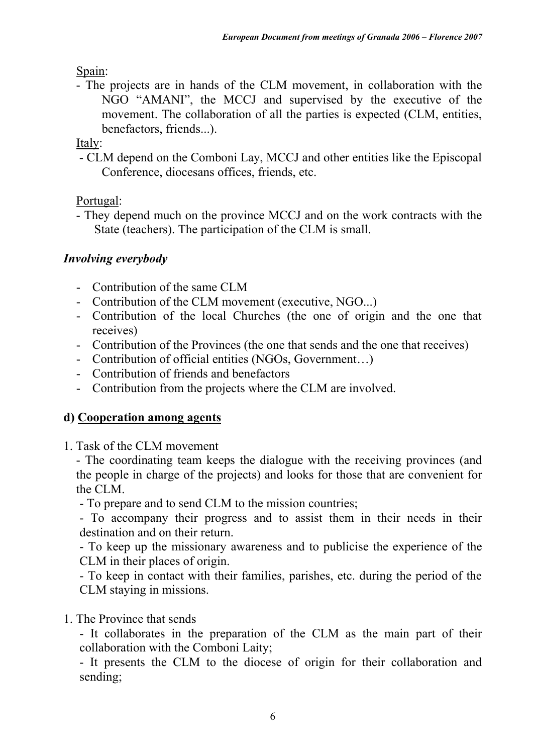Spain:

- The projects are in hands of the CLM movement, in collaboration with the NGO "AMANI", the MCCJ and supervised by the executive of the movement. The collaboration of all the parties is expected (CLM, entities, benefactors, friends...).

Italy:

- CLM depend on the Comboni Lay, MCCJ and other entities like the Episcopal Conference, diocesans offices, friends, etc.

Portugal:

- They depend much on the province MCCJ and on the work contracts with the State (teachers). The participation of the CLM is small.

# *Involving everybody*

- Contribution of the same CLM
- Contribution of the CLM movement (executive, NGO...)
- Contribution of the local Churches (the one of origin and the one that receives)
- Contribution of the Provinces (the one that sends and the one that receives)
- Contribution of official entities (NGOs, Government…)
- Contribution of friends and benefactors
- Contribution from the projects where the CLM are involved.

# **d) Cooperation among agents**

1. Task of the CLM movement

- The coordinating team keeps the dialogue with the receiving provinces (and the people in charge of the projects) and looks for those that are convenient for the CLM.

- To prepare and to send CLM to the mission countries;

- To accompany their progress and to assist them in their needs in their destination and on their return.

- To keep up the missionary awareness and to publicise the experience of the CLM in their places of origin.

- To keep in contact with their families, parishes, etc. during the period of the CLM staying in missions.

# 1. The Province that sends

- It collaborates in the preparation of the CLM as the main part of their collaboration with the Comboni Laity;

- It presents the CLM to the diocese of origin for their collaboration and sending;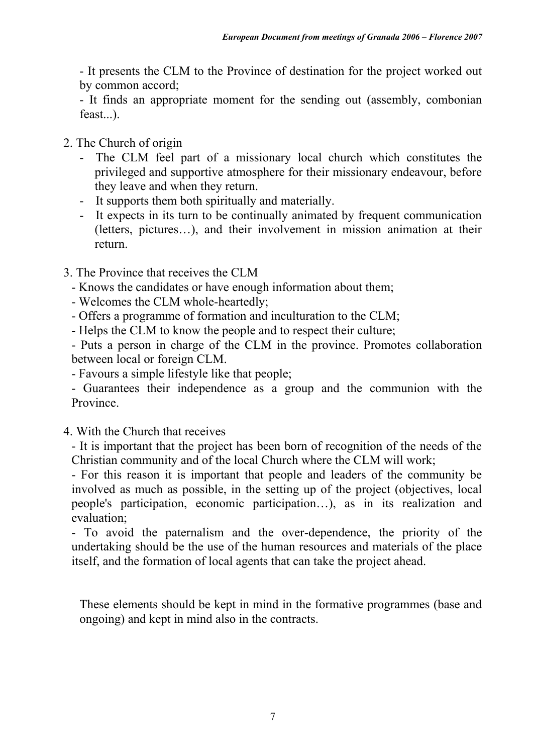- It presents the CLM to the Province of destination for the project worked out by common accord;

- It finds an appropriate moment for the sending out (assembly, combonian feast...).

- 2. The Church of origin
	- The CLM feel part of a missionary local church which constitutes the privileged and supportive atmosphere for their missionary endeavour, before they leave and when they return.
	- It supports them both spiritually and materially.
	- It expects in its turn to be continually animated by frequent communication (letters, pictures…), and their involvement in mission animation at their return.
- 3. The Province that receives the CLM
	- Knows the candidates or have enough information about them;
	- Welcomes the CLM whole-heartedly;
	- Offers a programme of formation and inculturation to the CLM;
	- Helps the CLM to know the people and to respect their culture;

- Puts a person in charge of the CLM in the province. Promotes collaboration between local or foreign CLM.

- Favours a simple lifestyle like that people;

- Guarantees their independence as a group and the communion with the Province.

4. With the Church that receives

- It is important that the project has been born of recognition of the needs of the Christian community and of the local Church where the CLM will work;

- For this reason it is important that people and leaders of the community be involved as much as possible, in the setting up of the project (objectives, local people's participation, economic participation…), as in its realization and evaluation;

- To avoid the paternalism and the over-dependence, the priority of the undertaking should be the use of the human resources and materials of the place itself, and the formation of local agents that can take the project ahead.

These elements should be kept in mind in the formative programmes (base and ongoing) and kept in mind also in the contracts.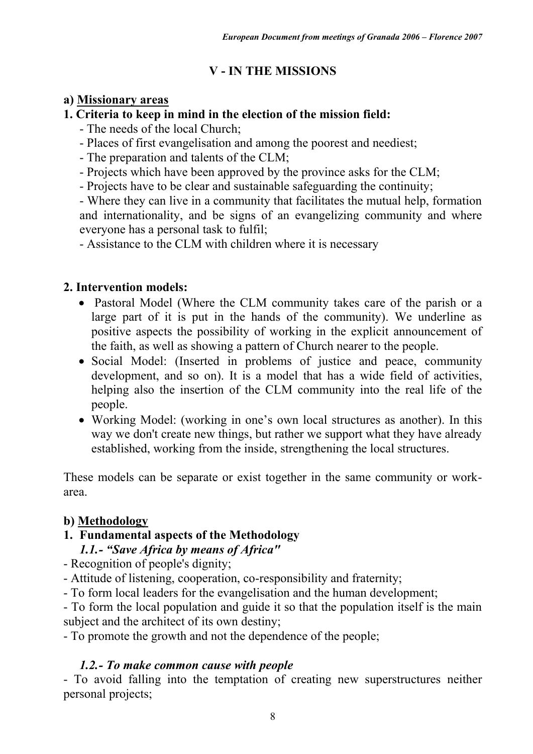# **V - IN THE MISSIONS**

### **a) Missionary areas**

### **1. Criteria to keep in mind in the election of the mission field:**

- The needs of the local Church;
- Places of first evangelisation and among the poorest and neediest;
- The preparation and talents of the CLM;
- Projects which have been approved by the province asks for the CLM;
- Projects have to be clear and sustainable safeguarding the continuity;

- Where they can live in a community that facilitates the mutual help, formation and internationality, and be signs of an evangelizing community and where everyone has a personal task to fulfil;

- Assistance to the CLM with children where it is necessary

# **2. Intervention models:**

- Pastoral Model (Where the CLM community takes care of the parish or a large part of it is put in the hands of the community). We underline as positive aspects the possibility of working in the explicit announcement of the faith, as well as showing a pattern of Church nearer to the people.
- Social Model: (Inserted in problems of justice and peace, community development, and so on). It is a model that has a wide field of activities, helping also the insertion of the CLM community into the real life of the people.
- Working Model: (working in one's own local structures as another). In this way we don't create new things, but rather we support what they have already established, working from the inside, strengthening the local structures.

These models can be separate or exist together in the same community or workarea.

### **b) Methodology**

### **1. Fundamental aspects of the Methodology**

### *1.1.- "Save Africa by means of Africa"*

- Recognition of people's dignity;
- Attitude of listening, cooperation, co-responsibility and fraternity;
- To form local leaders for the evangelisation and the human development;

- To form the local population and guide it so that the population itself is the main subject and the architect of its own destiny;

- To promote the growth and not the dependence of the people;

# *1.2.- To make common cause with people*

- To avoid falling into the temptation of creating new superstructures neither personal projects;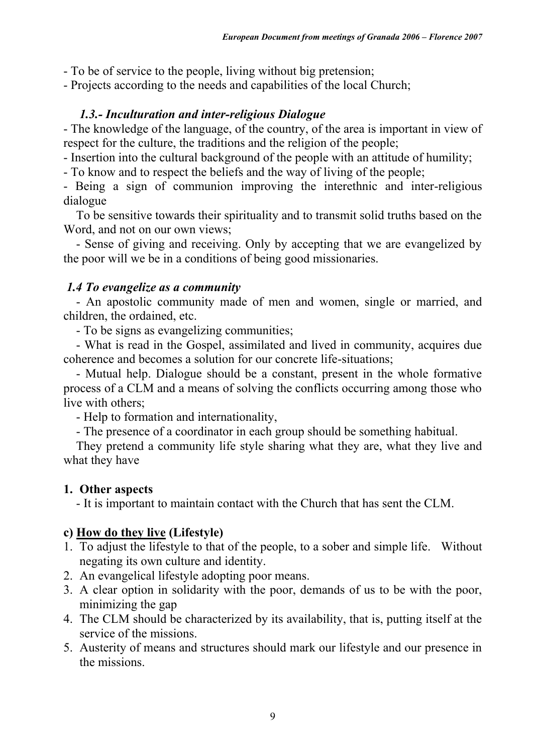- To be of service to the people, living without big pretension;

- Projects according to the needs and capabilities of the local Church;

### *1.3.- Inculturation and inter-religious Dialogue*

- The knowledge of the language, of the country, of the area is important in view of respect for the culture, the traditions and the religion of the people;

- Insertion into the cultural background of the people with an attitude of humility;

- To know and to respect the beliefs and the way of living of the people;

- Being a sign of communion improving the interethnic and inter-religious dialogue

To be sensitive towards their spirituality and to transmit solid truths based on the Word, and not on our own views;

- Sense of giving and receiving. Only by accepting that we are evangelized by the poor will we be in a conditions of being good missionaries.

#### *1.4 To evangelize as a community*

- An apostolic community made of men and women, single or married, and children, the ordained, etc.

- To be signs as evangelizing communities;

- What is read in the Gospel, assimilated and lived in community, acquires due coherence and becomes a solution for our concrete life-situations;

- Mutual help. Dialogue should be a constant, present in the whole formative process of a CLM and a means of solving the conflicts occurring among those who live with others;

- Help to formation and internationality,

- The presence of a coordinator in each group should be something habitual.

They pretend a community life style sharing what they are, what they live and what they have

#### **1. Other aspects**

- It is important to maintain contact with the Church that has sent the CLM.

#### **c) How do they live (Lifestyle)**

- 1. To adjust the lifestyle to that of the people, to a sober and simple life. Without negating its own culture and identity.
- 2. An evangelical lifestyle adopting poor means.
- 3. A clear option in solidarity with the poor, demands of us to be with the poor, minimizing the gap
- 4. The CLM should be characterized by its availability, that is, putting itself at the service of the missions.
- 5. Austerity of means and structures should mark our lifestyle and our presence in the missions.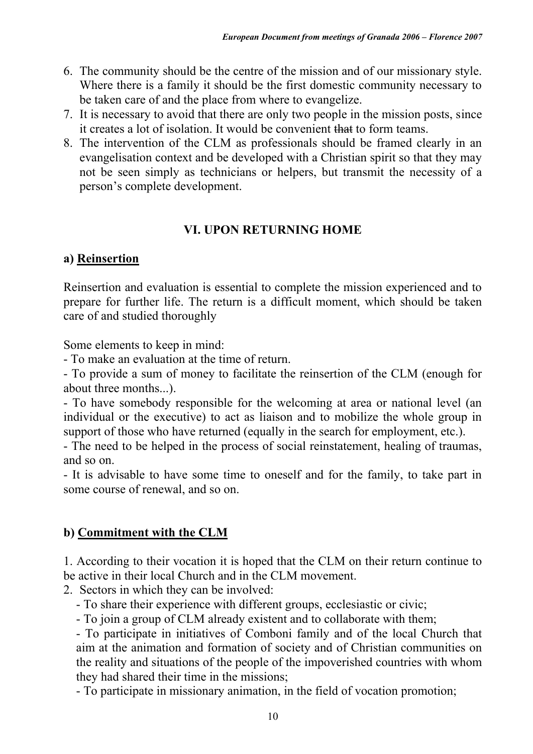- 6. The community should be the centre of the mission and of our missionary style. Where there is a family it should be the first domestic community necessary to be taken care of and the place from where to evangelize.
- 7. It is necessary to avoid that there are only two people in the mission posts, since it creates a lot of isolation. It would be convenient that to form teams.
- 8. The intervention of the CLM as professionals should be framed clearly in an evangelisation context and be developed with a Christian spirit so that they may not be seen simply as technicians or helpers, but transmit the necessity of a person's complete development.

# **VI. UPON RETURNING HOME**

# **a) Reinsertion**

Reinsertion and evaluation is essential to complete the mission experienced and to prepare for further life. The return is a difficult moment, which should be taken care of and studied thoroughly

Some elements to keep in mind:

- To make an evaluation at the time of return.

- To provide a sum of money to facilitate the reinsertion of the CLM (enough for about three months...).

- To have somebody responsible for the welcoming at area or national level (an individual or the executive) to act as liaison and to mobilize the whole group in support of those who have returned (equally in the search for employment, etc.).

- The need to be helped in the process of social reinstatement, healing of traumas, and so on.

- It is advisable to have some time to oneself and for the family, to take part in some course of renewal, and so on.

# **b) Commitment with the CLM**

1. According to their vocation it is hoped that the CLM on their return continue to be active in their local Church and in the CLM movement.

2. Sectors in which they can be involved:

- To share their experience with different groups, ecclesiastic or civic;

- To join a group of CLM already existent and to collaborate with them;

- To participate in initiatives of Comboni family and of the local Church that aim at the animation and formation of society and of Christian communities on the reality and situations of the people of the impoverished countries with whom they had shared their time in the missions;

- To participate in missionary animation, in the field of vocation promotion;